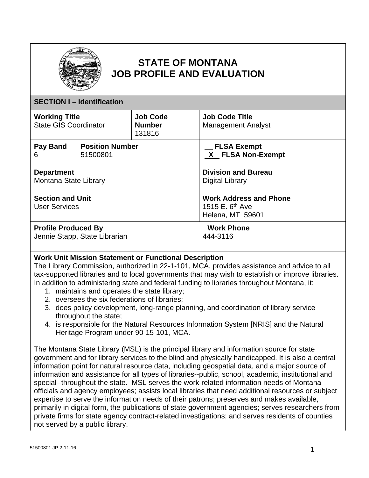

# **STATE OF MONTANA JOB PROFILE AND EVALUATION**

| <b>SECTION I - Identification</b>                           |  |                                            |                                                                           |  |
|-------------------------------------------------------------|--|--------------------------------------------|---------------------------------------------------------------------------|--|
| <b>Working Title</b><br><b>State GIS Coordinator</b>        |  | <b>Job Code</b><br><b>Number</b><br>131816 | <b>Job Code Title</b><br><b>Management Analyst</b>                        |  |
| <b>Position Number</b><br>Pay Band<br>6<br>51500801         |  |                                            | <b>FLSA Exempt</b><br>X FLSA Non-Exempt                                   |  |
| <b>Department</b><br>Montana State Library                  |  |                                            | <b>Division and Bureau</b><br>Digital Library                             |  |
| <b>Section and Unit</b><br><b>User Services</b>             |  |                                            | <b>Work Address and Phone</b><br>1515 E. $6^{th}$ Ave<br>Helena, MT 59601 |  |
| <b>Profile Produced By</b><br>Jennie Stapp, State Librarian |  |                                            | <b>Work Phone</b><br>444-3116                                             |  |

## **Work Unit Mission Statement or Functional Description**

The Library Commission, authorized in 22-1-101, MCA, provides assistance and advice to all tax-supported libraries and to local governments that may wish to establish or improve libraries. In addition to administering state and federal funding to libraries throughout Montana, it:

- 1. maintains and operates the state library;
- 2. oversees the six federations of libraries;
- 3. does policy development, long-range planning, and coordination of library service throughout the state;
- 4. is responsible for the Natural Resources Information System [NRIS] and the Natural Heritage Program under 90-15-101, MCA.

The Montana State Library (MSL) is the principal library and information source for state government and for library services to the blind and physically handicapped. It is also a central information point for natural resource data, including geospatial data, and a major source of information and assistance for all types of libraries--public, school, academic, institutional and special--throughout the state. MSL serves the work-related information needs of Montana officials and agency employees; assists local libraries that need additional resources or subject expertise to serve the information needs of their patrons; preserves and makes available, primarily in digital form, the publications of state government agencies; serves researchers from private firms for state agency contract-related investigations; and serves residents of counties not served by a public library.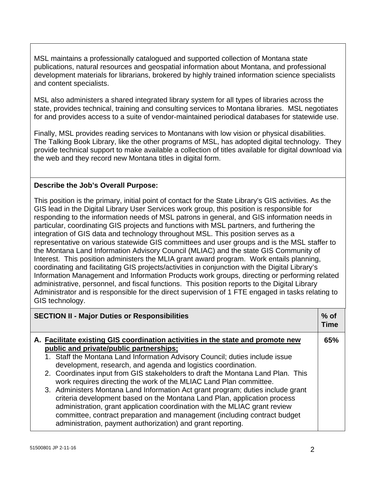MSL maintains a professionally catalogued and supported collection of Montana state publications, natural resources and geospatial information about Montana, and professional development materials for librarians, brokered by highly trained information science specialists and content specialists.

MSL also administers a shared integrated library system for all types of libraries across the state, provides technical, training and consulting services to Montana libraries. MSL negotiates for and provides access to a suite of vendor-maintained periodical databases for statewide use.

Finally, MSL provides reading services to Montanans with low vision or physical disabilities. The Talking Book Library, like the other programs of MSL, has adopted digital technology. They provide technical support to make available a collection of titles available for digital download via the web and they record new Montana titles in digital form.

# **Describe the Job's Overall Purpose:**

This position is the primary, initial point of contact for the State Library's GIS activities. As the GIS lead in the Digital Library User Services work group, this position is responsible for responding to the information needs of MSL patrons in general, and GIS information needs in particular, coordinating GIS projects and functions with MSL partners, and furthering the integration of GIS data and technology throughout MSL. This position serves as a representative on various statewide GIS committees and user groups and is the MSL staffer to the Montana Land Information Advisory Council (MLIAC) and the state GIS Community of Interest. This position administers the MLIA grant award program. Work entails planning, coordinating and facilitating GIS projects/activities in conjunction with the Digital Library's Information Management and Information Products work groups, directing or performing related administrative, personnel, and fiscal functions. This position reports to the Digital Library Administrator and is responsible for the direct supervision of 1 FTE engaged in tasks relating to GIS technology.

| <b>SECTION II - Major Duties or Responsibilities</b> |  |                                                                                                                                                                                                                                                                                                                                                                                       | $%$ of<br><b>Time</b> |
|------------------------------------------------------|--|---------------------------------------------------------------------------------------------------------------------------------------------------------------------------------------------------------------------------------------------------------------------------------------------------------------------------------------------------------------------------------------|-----------------------|
|                                                      |  | A. Facilitate existing GIS coordination activities in the state and promote new<br>public and private/public partnerships;                                                                                                                                                                                                                                                            | 65%                   |
|                                                      |  | 1. Staff the Montana Land Information Advisory Council; duties include issue<br>development, research, and agenda and logistics coordination.                                                                                                                                                                                                                                         |                       |
|                                                      |  | 2. Coordinates input from GIS stakeholders to draft the Montana Land Plan. This<br>work requires directing the work of the MLIAC Land Plan committee.                                                                                                                                                                                                                                 |                       |
|                                                      |  | 3. Administers Montana Land Information Act grant program; duties include grant<br>criteria development based on the Montana Land Plan, application process<br>administration, grant application coordination with the MLIAC grant review<br>committee, contract preparation and management (including contract budget<br>administration, payment authorization) and grant reporting. |                       |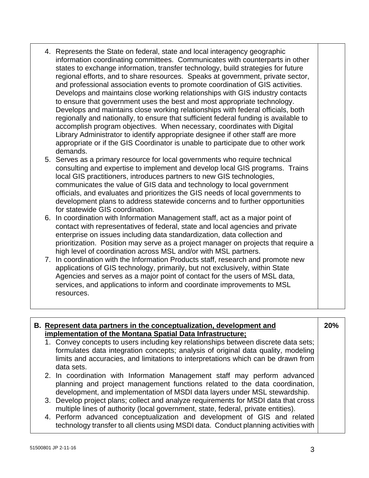- 4. Represents the State on federal, state and local interagency geographic information coordinating committees. Communicates with counterparts in other states to exchange information, transfer technology, build strategies for future regional efforts, and to share resources. Speaks at government, private sector, and professional association events to promote coordination of GIS activities. Develops and maintains close working relationships with GIS industry contacts to ensure that government uses the best and most appropriate technology. Develops and maintains close working relationships with federal officials, both regionally and nationally, to ensure that sufficient federal funding is available to accomplish program objectives. When necessary, coordinates with Digital Library Administrator to identify appropriate designee if other staff are more appropriate or if the GIS Coordinator is unable to participate due to other work demands.
- 5. Serves as a primary resource for local governments who require technical consulting and expertise to implement and develop local GIS programs. Trains local GIS practitioners, introduces partners to new GIS technologies, communicates the value of GIS data and technology to local government officials, and evaluates and prioritizes the GIS needs of local governments to development plans to address statewide concerns and to further opportunities for statewide GIS coordination.
- 6. In coordination with Information Management staff, act as a major point of contact with representatives of federal, state and local agencies and private enterprise on issues including data standardization, data collection and prioritization. Position may serve as a project manager on projects that require a high level of coordination across MSL and/or with MSL partners.
- 7. In coordination with the Information Products staff, research and promote new applications of GIS technology, primarily, but not exclusively, within State Agencies and serves as a major point of contact for the users of MSL data, services, and applications to inform and coordinate improvements to MSL resources.

#### **B. Represent data partners in the conceptualization, development and implementation of the Montana Spatial Data Infrastructure;**

- **20%**
- 1. Convey concepts to users including key relationships between discrete data sets; formulates data integration concepts; analysis of original data quality, modeling limits and accuracies, and limitations to interpretations which can be drawn from data sets.
- 2. In coordination with Information Management staff may perform advanced planning and project management functions related to the data coordination, development, and implementation of MSDI data layers under MSL stewardship.
- 3. Develop project plans; collect and analyze requirements for MSDI data that cross multiple lines of authority (local government, state, federal, private entities).
- 4. Perform advanced conceptualization and development of GIS and related technology transfer to all clients using MSDI data. Conduct planning activities with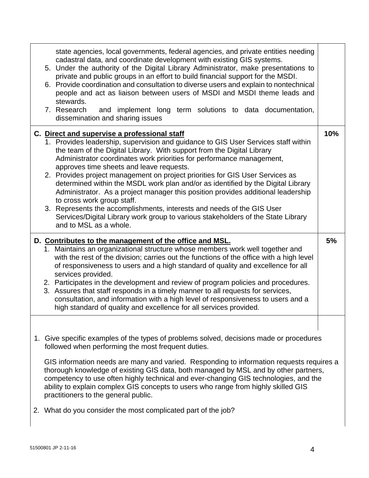|                                                                                                                                                                                                                                                                                                                                                                                                                                                                                                                                                        | state agencies, local governments, federal agencies, and private entities needing<br>cadastral data, and coordinate development with existing GIS systems.<br>5. Under the authority of the Digital Library Administrator, make presentations to<br>private and public groups in an effort to build financial support for the MSDI.<br>6. Provide coordination and consultation to diverse users and explain to nontechnical<br>people and act as liaison between users of MSDI and MSDI theme leads and<br>stewards.<br>7. Research<br>and implement long term solutions to data documentation,<br>dissemination and sharing issues                                                                                                                                                                             |     |  |
|--------------------------------------------------------------------------------------------------------------------------------------------------------------------------------------------------------------------------------------------------------------------------------------------------------------------------------------------------------------------------------------------------------------------------------------------------------------------------------------------------------------------------------------------------------|------------------------------------------------------------------------------------------------------------------------------------------------------------------------------------------------------------------------------------------------------------------------------------------------------------------------------------------------------------------------------------------------------------------------------------------------------------------------------------------------------------------------------------------------------------------------------------------------------------------------------------------------------------------------------------------------------------------------------------------------------------------------------------------------------------------|-----|--|
|                                                                                                                                                                                                                                                                                                                                                                                                                                                                                                                                                        | C. Direct and supervise a professional staff<br>1. Provides leadership, supervision and guidance to GIS User Services staff within<br>the team of the Digital Library. With support from the Digital Library<br>Administrator coordinates work priorities for performance management,<br>approves time sheets and leave requests.<br>2. Provides project management on project priorities for GIS User Services as<br>determined within the MSDL work plan and/or as identified by the Digital Library<br>Administrator. As a project manager this position provides additional leadership<br>to cross work group staff.<br>3. Represents the accomplishments, interests and needs of the GIS User<br>Services/Digital Library work group to various stakeholders of the State Library<br>and to MSL as a whole. | 10% |  |
|                                                                                                                                                                                                                                                                                                                                                                                                                                                                                                                                                        | D. Contributes to the management of the office and MSL.<br>1. Maintains an organizational structure whose members work well together and<br>with the rest of the division; carries out the functions of the office with a high level<br>of responsiveness to users and a high standard of quality and excellence for all<br>services provided.<br>2. Participates in the development and review of program policies and procedures.<br>3. Assures that staff responds in a timely manner to all requests for services,<br>consultation, and information with a high level of responsiveness to users and a<br>high standard of quality and excellence for all services provided.                                                                                                                                 | 5%  |  |
| 1. Give specific examples of the types of problems solved, decisions made or procedures<br>followed when performing the most frequent duties.<br>GIS information needs are many and varied. Responding to information requests requires a<br>thorough knowledge of existing GIS data, both managed by MSL and by other partners,<br>competency to use often highly technical and ever-changing GIS technologies, and the<br>ability to explain complex GIS concepts to users who range from highly skilled GIS<br>practitioners to the general public. |                                                                                                                                                                                                                                                                                                                                                                                                                                                                                                                                                                                                                                                                                                                                                                                                                  |     |  |
|                                                                                                                                                                                                                                                                                                                                                                                                                                                                                                                                                        | 2. What do you consider the most complicated part of the job?                                                                                                                                                                                                                                                                                                                                                                                                                                                                                                                                                                                                                                                                                                                                                    |     |  |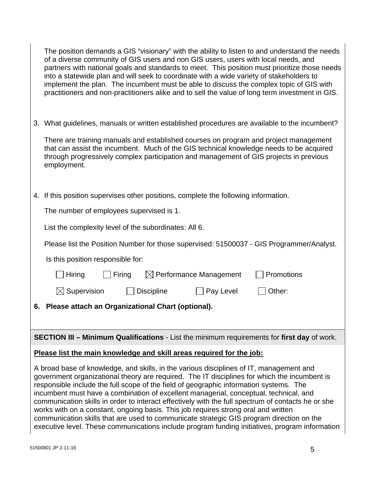The position demands a GIS "visionary" with the ability to listen to and understand the needs of a diverse community of GIS users and non GIS users, users with local needs, and partners with national goals and standards to meet. This position must prioritize those needs into a statewide plan and will seek to coordinate with a wide variety of stakeholders to implement the plan. The incumbent must be able to discuss the complex topic of GIS with practitioners and non-practitioners alike and to sell the value of long term investment in GIS.

3. What guidelines, manuals or written established procedures are available to the incumbent?

There are training manuals and established courses on program and project management that can assist the incumbent. Much of the GIS technical knowledge needs to be acquired through progressively complex participation and management of GIS projects in previous employment.

4. If this position supervises other positions, complete the following information.

The number of employees supervised is 1.

List the complexity level of the subordinates: All 6.

Please list the Position Number for those supervised: 51500037 - GIS Programmer/Analyst.

Is this position responsible for:

| 6. Please attach an Organizational Chart (optional). |        |            |                                    |                   |  |
|------------------------------------------------------|--------|------------|------------------------------------|-------------------|--|
| $\boxtimes$ Supervision                              |        | Discipline | $\Box$ Pay Level                   | $\vert$   Other:  |  |
| $\Box$ Hiring                                        | Firing |            | $\boxtimes$ Performance Management | <b>Promotions</b> |  |

**SECTION III – Minimum Qualifications** - List the minimum requirements for **first day** of work.

#### **Please list the main knowledge and skill areas required for the job:**

A broad base of knowledge, and skills, in the various disciplines of IT, management and government organizational theory are required. The IT disciplines for which the incumbent is responsible include the full scope of the field of geographic information systems. The incumbent must have a combination of excellent managerial, conceptual, technical, and communication skills in order to interact effectively with the full spectrum of contacts he or she works with on a constant, ongoing basis. This job requires strong oral and written communication skills that are used to communicate strategic GIS program direction on the executive level. These communications include program funding initiatives, program information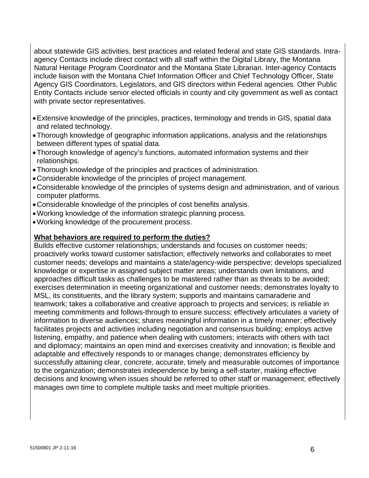about statewide GIS activities, best practices and related federal and state GIS standards. Intraagency Contacts include direct contact with all staff within the Digital Library, the Montana Natural Heritage Program Coordinator and the Montana State Librarian. Inter-agency Contacts include liaison with the Montana Chief Information Officer and Chief Technology Officer, State Agency GIS Coordinators, Legislators, and GIS directors within Federal agencies. Other Public Entity Contacts include senior elected officials in county and city government as well as contact with private sector representatives.

- Extensive knowledge of the principles, practices, terminology and trends in GIS, spatial data and related technology.
- Thorough knowledge of geographic information applications, analysis and the relationships between different types of spatial data.
- Thorough knowledge of agency's functions, automated information systems and their relationships.
- Thorough knowledge of the principles and practices of administration.
- Considerable knowledge of the principles of project management.
- Considerable knowledge of the principles of systems design and administration, and of various computer platforms.
- Considerable knowledge of the principles of cost benefits analysis.
- Working knowledge of the information strategic planning process.
- Working knowledge of the procurement process.

#### **What behaviors are required to perform the duties?**

Builds effective customer relationships; understands and focuses on customer needs; proactively works toward customer satisfaction; effectively networks and collaborates to meet customer needs; develops and maintains a state/agency-wide perspective; develops specialized knowledge or expertise in assigned subject matter areas; understands own limitations, and approaches difficult tasks as challenges to be mastered rather than as threats to be avoided; exercises determination in meeting organizational and customer needs; demonstrates loyalty to MSL, its constituents, and the library system; supports and maintains camaraderie and teamwork; takes a collaborative and creative approach to projects and services; is reliable in meeting commitments and follows-through to ensure success; effectively articulates a variety of information to diverse audiences; shares meaningful information in a timely manner; effectively facilitates projects and activities including negotiation and consensus building; employs active listening, empathy, and patience when dealing with customers; interacts with others with tact and diplomacy; maintains an open mind and exercises creativity and innovation; is flexible and adaptable and effectively responds to or manages change; demonstrates efficiency by successfully attaining clear, concrete, accurate, timely and measurable outcomes of importance to the organization; demonstrates independence by being a self-starter, making effective decisions and knowing when issues should be referred to other staff or management; effectively manages own time to complete multiple tasks and meet multiple priorities.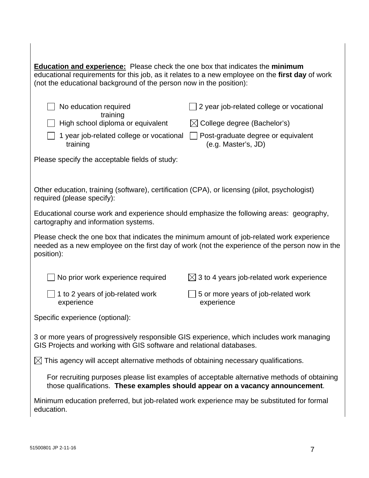| <b>Education and experience:</b> Please check the one box that indicates the minimum<br>educational requirements for this job, as it relates to a new employee on the first day of work<br>(not the educational background of the person now in the position): |                                                                                                                                                  |  |  |  |
|----------------------------------------------------------------------------------------------------------------------------------------------------------------------------------------------------------------------------------------------------------------|--------------------------------------------------------------------------------------------------------------------------------------------------|--|--|--|
| No education required<br>training<br>High school diploma or equivalent<br>1 year job-related college or vocational<br>training<br>Please specify the acceptable fields of study:                                                                               | 2 year job-related college or vocational<br>$\boxtimes$ College degree (Bachelor's)<br>Post-graduate degree or equivalent<br>(e.g. Master's, JD) |  |  |  |
| Other education, training (software), certification (CPA), or licensing (pilot, psychologist)<br>required (please specify):                                                                                                                                    |                                                                                                                                                  |  |  |  |
| Educational course work and experience should emphasize the following areas: geography,<br>cartography and information systems.                                                                                                                                |                                                                                                                                                  |  |  |  |
| Please check the one box that indicates the minimum amount of job-related work experience<br>needed as a new employee on the first day of work (not the experience of the person now in the<br>position):                                                      |                                                                                                                                                  |  |  |  |
| No prior work experience required                                                                                                                                                                                                                              | $\boxtimes$ 3 to 4 years job-related work experience                                                                                             |  |  |  |
| 1 to 2 years of job-related work<br>experience                                                                                                                                                                                                                 | 5 or more years of job-related work<br>experience                                                                                                |  |  |  |
| Specific experience (optional):                                                                                                                                                                                                                                |                                                                                                                                                  |  |  |  |
| 3 or more years of progressively responsible GIS experience, which includes work managing<br>GIS Projects and working with GIS software and relational databases.                                                                                              |                                                                                                                                                  |  |  |  |
| $\boxtimes$ This agency will accept alternative methods of obtaining necessary qualifications.                                                                                                                                                                 |                                                                                                                                                  |  |  |  |
| For recruiting purposes please list examples of acceptable alternative methods of obtaining<br>those qualifications. These examples should appear on a vacancy announcement.                                                                                   |                                                                                                                                                  |  |  |  |
| Minimum education preferred, but job-related work experience may be substituted for formal<br>education.                                                                                                                                                       |                                                                                                                                                  |  |  |  |